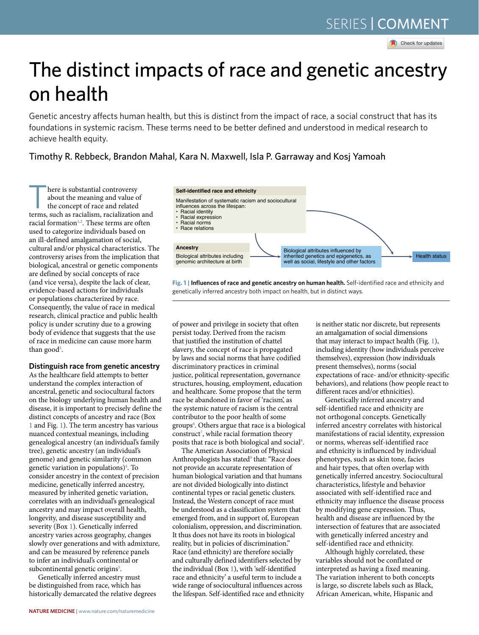**R** Check for updates

# The distinct impacts of race and genetic ancestry on health

Genetic ancestry afects human health, but this is distinct from the impact of race, a social construct that has its foundations in systemic racism. These terms need to be better defned and understood in medical research to achieve health equity.

## Timothy R. Rebbeck, Brandon Mahal, Kara N. Maxwell, Isla P. Garraway and Kosj Yamoah

**There is substantial controversy<br>
about the meaning and value of<br>
the concept of race and related<br>
terms such as racialism racialization** about the meaning and value of terms, such as racialism, racialization and racial formation<sup>[1,](#page-2-0)[2](#page-2-1)</sup>. These terms are often used to categorize individuals based on an ill-defined amalgamation of social, cultural and/or physical characteristics. The controversy arises from the implication that biological, ancestral or genetic components are defined by social concepts of race (and vice versa), despite the lack of clear, evidence-based actions for individuals or populations characterized by race. Consequently, the value of race in medical research, clinical practice and public health policy is under scrutiny due to a growing body of evidence that suggests that the use of race in medicine can cause more harm than good<sup>[3](#page-2-2)</sup>.

## **Distinguish race from genetic ancestry**

As the healthcare field attempts to better understand the complex interaction of ancestral, genetic and sociocultural factors on the biology underlying human health and disease, it is important to precisely define the distinct concepts of ancestry and race (Box [1](#page-1-0) and Fig. [1\)](#page-0-0). The term ancestry has various nuanced contextual meanings, including genealogical ancestry (an individual's family tree), genetic ancestry (an individual's genome) and genetic similarity (common genetic variation in populations)<sup>[4](#page-2-3)</sup>. To consider ancestry in the context of precision medicine, genetically inferred ancestry, measured by inherited genetic variation, correlates with an individual's genealogical ancestry and may impact overall health, longevity, and disease susceptibility and severity (Box [1\)](#page-1-0). Genetically inferred ancestry varies across geography, changes slowly over generations and with admixture, and can be measured by reference panels to infer an individual's continental or subcontinental genetic origins<sup>[5](#page-2-4)</sup>.

Genetically inferred ancestry must be distinguished from race, which has historically demarcated the relative degrees



<span id="page-0-0"></span>**Fig. 1 | Influences of race and genetic ancestry on human health.** Self-identified race and ethnicity and genetically inferred ancestry both impact on health, but in distinct ways.

of power and privilege in society that often persist today. Derived from the racism that justified the institution of chattel slavery, the concept of race is propagated by laws and social norms that have codified discriminatory practices in criminal justice, political representation, governance structures, housing, employment, education and healthcare. Some propose that the term race be abandoned in favor of 'racism', as the systemic nature of racism is the central contributor to the poor health of some groups<sup>[6](#page-2-5)</sup>. Others argue that race is a biological  $constant^7$ , while racial formation theory posits that race is both biological and social<sup>[8](#page-2-7)</sup>.

The American Association of Physical Anthropologists has stated<sup>[9](#page-2-8)</sup> that: "Race does not provide an accurate representation of human biological variation and that humans are not divided biologically into distinct continental types or racial genetic clusters. Instead, the Western concept of race must be understood as a classification system that emerged from, and in support of, European colonialism, oppression, and discrimination. It thus does not have its roots in biological reality, but in policies of discrimination." Race (and ethnicity) are therefore socially and culturally defined identifiers selected by the individual (Box [1\)](#page-1-0), with 'self-identified race and ethnicity' a useful term to include a wide range of sociocultural influences across the lifespan. Self-identified race and ethnicity is neither static nor discrete, but represents an amalgamation of social dimensions that may interact to impact health (Fig. [1\)](#page-0-0), including identity (how individuals perceive themselves), expression (how individuals present themselves), norms (social expectations of race- and/or ethnicity-specific behaviors), and relations (how people react to different races and/or ethnicities).

Genetically inferred ancestry and self-identified race and ethnicity are not orthogonal concepts. Genetically inferred ancestry correlates with historical manifestations of racial identity, expression or norms, whereas self-identified race and ethnicity is influenced by individual phenotypes, such as skin tone, facies and hair types, that often overlap with genetically inferred ancestry. Sociocultural characteristics, lifestyle and behavior associated with self-identified race and ethnicity may influence the disease process by modifying gene expression. Thus, health and disease are influenced by the intersection of features that are associated with genetically inferred ancestry and self-identified race and ethnicity.

Although highly correlated, these variables should not be conflated or interpreted as having a fixed meaning. The variation inherent to both concepts is large, so discrete labels such as Black, African American, white, Hispanic and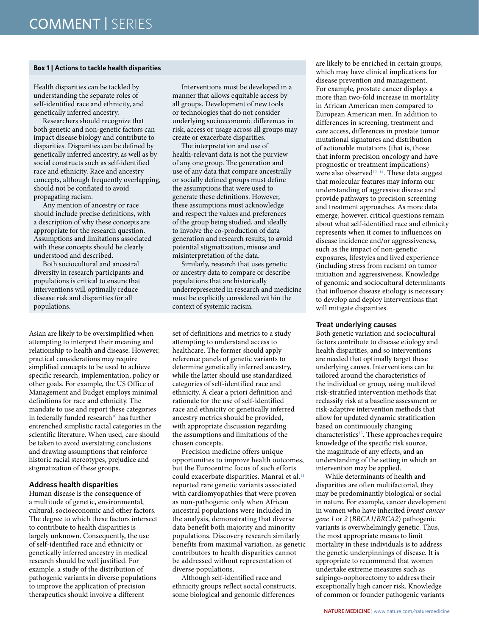### <span id="page-1-0"></span>**Box 1 | Actions to tackle health disparities**

Health disparities can be tackled by understanding the separate roles of self-identifed race and ethnicity, and genetically inferred ancestry.

Researchers should recognize that both genetic and non-genetic factors can impact disease biology and contribute to disparities. Disparities can be defned by genetically inferred ancestry, as well as by social constructs such as self-identifed race and ethnicity. Race and ancestry concepts, although frequently overlapping, should not be confated to avoid propagating racism.

Any mention of ancestry or race should include precise defnitions, with a description of why these concepts are appropriate for the research question. Assumptions and limitations associated with these concepts should be clearly understood and described.

Both sociocultural and ancestral diversity in research participants and populations is critical to ensure that interventions will optimally reduce disease risk and disparities for all populations.

Asian are likely to be oversimplified when attempting to interpret their meaning and relationship to health and disease. However, practical considerations may require simplified concepts to be used to achieve specific research, implementation, policy or other goals. For example, the US Office of Management and Budget employs minimal definitions for race and ethnicity. The mandate to use and report these categories in federally funded research<sup>10</sup> has further entrenched simplistic racial categories in the scientific literature. When used, care should be taken to avoid overstating conclusions and drawing assumptions that reinforce historic racial stereotypes, prejudice and stigmatization of these groups.

## **Address health disparities**

Human disease is the consequence of a multitude of genetic, environmental, cultural, socioeconomic and other factors. The degree to which these factors intersect to contribute to health disparities is largely unknown. Consequently, the use of self-identified race and ethnicity or genetically inferred ancestry in medical research should be well justified. For example, a study of the distribution of pathogenic variants in diverse populations to improve the application of precision therapeutics should involve a different

Interventions must be developed in a manner that allows equitable access by all groups. Development of new tools or technologies that do not consider underlying socioeconomic diferences in risk, access or usage across all groups may create or exacerbate disparities.

The interpretation and use of health-relevant data is not the purview of any one group. The generation and use of any data that compare ancestrally or socially defned groups must defne the assumptions that were used to generate these defnitions. However, these assumptions must acknowledge and respect the values and preferences of the group being studied, and ideally to involve the co-production of data generation and research results, to avoid potential stigmatization, misuse and misinterpretation of the data.

Similarly, research that uses genetic or ancestry data to compare or describe populations that are historically underrepresented in research and medicine must be explicitly considered within the context of systemic racism.

set of definitions and metrics to a study attempting to understand access to healthcare. The former should apply reference panels of genetic variants to determine genetically inferred ancestry, while the latter should use standardized categories of self-identified race and ethnicity. A clear a priori definition and rationale for the use of self-identified race and ethnicity or genetically inferred ancestry metrics should be provided, with appropriate discussion regarding the assumptions and limitations of the chosen concepts.

Precision medicine offers unique opportunities to improve health outcomes, but the Eurocentric focus of such efforts could exacerbate disparities. Manrai et al.<sup>11</sup> reported rare genetic variants associated with cardiomyopathies that were proven as non-pathogenic only when African ancestral populations were included in the analysis, demonstrating that diverse data benefit both majority and minority populations. Discovery research similarly benefits from maximal variation, as genetic contributors to health disparities cannot be addressed without representation of diverse populations.

Although self-identified race and ethnicity groups reflect social constructs, some biological and genomic differences

are likely to be enriched in certain groups, which may have clinical implications for disease prevention and management. For example, prostate cancer displays a more than two-fold increase in mortality in African American men compared to European American men. In addition to differences in screening, treatment and care access, differences in prostate tumor mutational signatures and distribution of actionable mutations (that is, those that inform precision oncology and have prognostic or treatment implications) were also observed<sup>[12–](#page-2-11)[14](#page-2-12)</sup>. These data suggest that molecular features may inform our understanding of aggressive disease and provide pathways to precision screening and treatment approaches. As more data emerge, however, critical questions remain about what self-identified race and ethnicity represents when it comes to influences on disease incidence and/or aggressiveness, such as the impact of non-genetic exposures, lifestyles and lived experience (including stress from racism) on tumor initiation and aggressiveness. Knowledge of genomic and sociocultural determinants that influence disease etiology is necessary to develop and deploy interventions that will mitigate disparities.

### **Treat underlying causes**

Both genetic variation and sociocultural factors contribute to disease etiology and health disparities, and so interventions are needed that optimally target these underlying causes. Interventions can be tailored around the characteristics of the individual or group, using multilevel risk-stratified intervention methods that reclassify risk at a baseline assessment or risk-adaptive intervention methods that allow for updated dynamic stratification based on continuously changing characteristics<sup>[15](#page-2-13)</sup>. These approaches require knowledge of the specific risk source, the magnitude of any effects, and an understanding of the setting in which an intervention may be applied.

While determinants of health and disparities are often multifactorial, they may be predominantly biological or social in nature. For example, cancer development in women who have inherited *breast cancer gene 1* or *2* (*BRCA1*/*BRCA2*) pathogenic variants is overwhelmingly genetic. Thus, the most appropriate means to limit mortality in these individuals is to address the genetic underpinnings of disease. It is appropriate to recommend that women undertake extreme measures such as salpingo-oophorectomy to address their exceptionally high cancer risk. Knowledge of common or founder pathogenic variants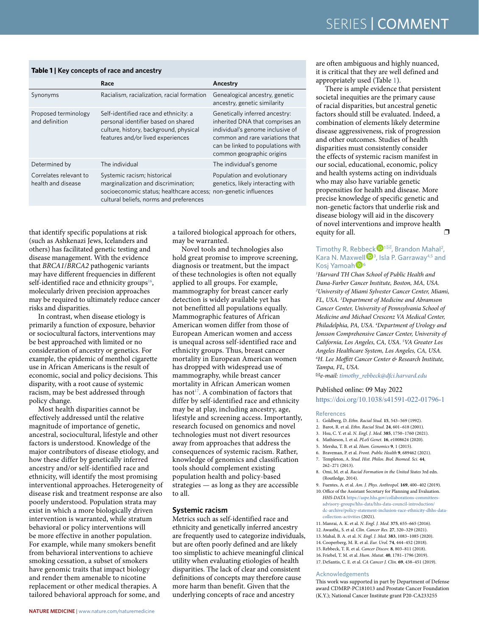## <span id="page-2-16"></span>**Table 1 | Key concepts of race and ancestry**

|                                              | Race                                                                                                                                                                             | Ancestry                                                                                                                                                                                                   |
|----------------------------------------------|----------------------------------------------------------------------------------------------------------------------------------------------------------------------------------|------------------------------------------------------------------------------------------------------------------------------------------------------------------------------------------------------------|
| Synonyms                                     | Racialism, racialization, racial formation                                                                                                                                       | Genealogical ancestry, genetic<br>ancestry, genetic similarity                                                                                                                                             |
| Proposed terminology<br>and definition       | Self-identified race and ethnicity: a<br>personal identifier based on shared<br>culture, history, background, physical<br>features and/or lived experiences                      | Genetically inferred ancestry:<br>inherited DNA that comprises an<br>individual's genome inclusive of<br>common and rare variations that<br>can be linked to populations with<br>common geographic origins |
| Determined by                                | The individual                                                                                                                                                                   | The individual's genome                                                                                                                                                                                    |
| Correlates relevant to<br>health and disease | Systemic racism; historical<br>marginalization and discrimination;<br>socioeconomic status; healthcare access; non-genetic influences<br>cultural beliefs, norms and preferences | Population and evolutionary<br>genetics, likely interacting with                                                                                                                                           |

that identify specific populations at risk (such as Ashkenazi Jews, Icelanders and others) has facilitated genetic testing and disease management. With the evidence that *BRCA1*/*BRCA2* pathogenic variants may have different frequencies in different self-identified race and ethnicity groups $16$ , molecularly driven precision approaches may be required to ultimately reduce cancer risks and disparities.

In contrast, when disease etiology is primarily a function of exposure, behavior or sociocultural factors, interventions may be best approached with limited or no consideration of ancestry or genetics. For example, the epidemic of menthol cigarette use in African Americans is the result of economic, social and policy decisions. This disparity, with a root cause of systemic racism, may be best addressed through policy change.

Most health disparities cannot be effectively addressed until the relative magnitude of importance of genetic, ancestral, sociocultural, lifestyle and other factors is understood. Knowledge of the major contributors of disease etiology, and how these differ by genetically inferred ancestry and/or self-identified race and ethnicity, will identify the most promising interventional approaches. Heterogeneity of disease risk and treatment response are also poorly understood. Population strata may exist in which a more biologically driven intervention is warranted, while stratum behavioral or policy interventions will be more effective in another population. For example, while many smokers benefit from behavioral interventions to achieve smoking cessation, a subset of smokers have genomic traits that impact biology and render them amenable to nicotine replacement or other medical therapies. A tailored behavioral approach for some, and

a tailored biological approach for others, may be warranted.

Novel tools and technologies also hold great promise to improve screening, diagnosis or treatment, but the impact of these technologies is often not equally applied to all groups. For example, mammography for breast cancer early detection is widely available yet has not benefitted all populations equally. Mammographic features of African American women differ from those of European American women and access is unequal across self-identified race and ethnicity groups. Thus, breast cancer mortality in European American women has dropped with widespread use of mammography, while breast cancer mortality in African American women has not<sup>17</sup>. A combination of factors that differ by self-identified race and ethnicity may be at play, including ancestry, age, lifestyle and screening access. Importantly, research focused on genomics and novel technologies must not divert resources away from approaches that address the consequences of systemic racism. Rather, knowledge of genomics and classification tools should complement existing population health and policy-based strategies — as long as they are accessible to all.

#### **Systemic racism**

Metrics such as self-identified race and ethnicity and genetically inferred ancestry are frequently used to categorize individuals, but are often poorly defined and are likely too simplistic to achieve meaningful clinical utility when evaluating etiologies of health disparities. The lack of clear and consistent definitions of concepts may therefore cause more harm than benefit. Given that the underlying concepts of race and ancestry

are often ambiguous and highly nuanced, it is critical that they are well defined and appropriately used (Table [1](#page-2-16)).

There is ample evidence that persistent societal inequities are the primary cause of racial disparities, but ancestral genetic factors should still be evaluated. Indeed, a combination of elements likely determine disease aggressiveness, risk of progression and other outcomes. Studies of health disparities must consistently consider the effects of systemic racism manifest in our social, educational, economic, policy and health systems acting on individuals who may also have variable genetic propensities for health and disease. More precise knowledge of specific genetic and non-genetic factors that underlie risk and disease biology will aid in the discovery of novel interventions and improve health equity for all.  $\Box$ 

## Timothy R. Rebb[eck](http://orcid.org/0000-0001-8192-4202) <sup>D</sup><sup>1⊠</sup>, Brandon Mahal<sup>2</sup>, Kara N. Max[wel](http://orcid.org/0000-0001-9055-3538)l $\mathbf{D}^3$ , Isla P. Garraway<sup>4,5</sup> and Kosj Yamoah<sup>D6</sup>

*1 Harvard TH Chan School of Public Health and Dana-Farber Cancer Institute, Boston, MA, USA. 2 University of Miami Sylvester Cancer Center, Miami, FL, USA. 3 Department of Medicine and Abramson Cancer Center, University of Pennsylvania School of Medicine and Michael Crescenz VA Medical Center, Philadelphia, PA, USA. 4 Department of Urology and Jonsson Comprehensive Cancer Center, University of California, Los Angeles, CA, USA. 5 VA Greater Los Angeles Healthcare System, Los Angeles, CA, USA. 6 H. Lee Moftt Cancer Center & Research Institute, Tampa, FL, USA.* 

✉*e-mail: [timothy\\_rebbeck@dfci.harvard.edu](mailto:timothy_rebbeck@dfci.harvard.edu)*

#### Published online: 09 May 2022

<https://doi.org/10.1038/s41591-022-01796-1>

#### References

- <span id="page-2-0"></span>1. Goldberg, D. *Ethn. Racial Stud.* **15**, 543–569 (1992).
- <span id="page-2-1"></span>2. Barot, R. et al. *Ethn. Racial Stud.* **24**, 601–618 (2001).
- <span id="page-2-2"></span>3. Hsu, C. Y. et al. *N. Engl. J. Med.* **385**, 1750–1760 (2021).
- <span id="page-2-3"></span>4. Mathieson, I. et al. *PLoS Genet.* **16**, e1008624 (2020).
- <span id="page-2-4"></span>5. Mersha, T. B. et al. *Hum. Genomics* **9**, 1 (2015).
- <span id="page-2-5"></span>6. Braveman, P. et al. *Front. Public Health* **9**, 689462 (2021).
- <span id="page-2-6"></span>7. Templeton, A. *Stud. Hist. Philos. Biol. Biomed. Sci.* **44**, 262–271 (2013).
- <span id="page-2-7"></span>8. Omi, M. et al. *Racial Formation in the United States* 3rd edn. (Routledge, 2014).
- <span id="page-2-9"></span><span id="page-2-8"></span>9. Fuentes, A. et al. *Am. J. Phys. Anthropol.* **169**, 400–402 (2019). 10. Office of the Assistant Secretary for Planning and Evaluation.
- *HHS-DATA* [https://aspe.hhs.gov/collaborations-committees](https://aspe.hhs.gov/collaborations-committees-advisory-groups/hhs-data/hhs-data-council-introduction/dc-archive/policy-statement-inclusion-race-ethnicity-dhhs-data-collection-activities)[advisory-groups/hhs-data/hhs-data-council-introduction/](https://aspe.hhs.gov/collaborations-committees-advisory-groups/hhs-data/hhs-data-council-introduction/dc-archive/policy-statement-inclusion-race-ethnicity-dhhs-data-collection-activities) [dc-archive/policy-statement-inclusion-race-ethnicity-dhhs-data](https://aspe.hhs.gov/collaborations-committees-advisory-groups/hhs-data/hhs-data-council-introduction/dc-archive/policy-statement-inclusion-race-ethnicity-dhhs-data-collection-activities)[collection-activities](https://aspe.hhs.gov/collaborations-committees-advisory-groups/hhs-data/hhs-data-council-introduction/dc-archive/policy-statement-inclusion-race-ethnicity-dhhs-data-collection-activities) (2021).
- <span id="page-2-10"></span>11. Manrai, A. K. et al. *N. Engl. J. Med.* **375**, 655–665 (2016).
- <span id="page-2-11"></span>12. Awasthi,, S. et al. *Clin. Cancer Res.* **27**, 320–329 (2021).
- 13. Mahal, B. A. et al. *N. Engl. J. Med.* **383**, 1083–1085 (2020).
- <span id="page-2-12"></span>14. Cooperberg, M. R. et al. *Eur. Urol.* **74**, 444–452 (2018).
- <span id="page-2-14"></span><span id="page-2-13"></span>15. Rebbeck, T. R. et al. *Cancer Discov.* **8**, 803–811 (2018). 16. Friebel, T. M. et al. *Hum. Mutat.* **40**, 1781–1796 (2019).
- <span id="page-2-15"></span>17. DeSantis, C. E. et al. *CA Cancer J. Clin.* **69**, 438–451 (2019).

#### Acknowledgements

This work was supported in part by Department of Defense award CDMRP-PC181013 and Prostate Cancer Foundation (K.Y.); National Cancer Institute grant P20-CA233255